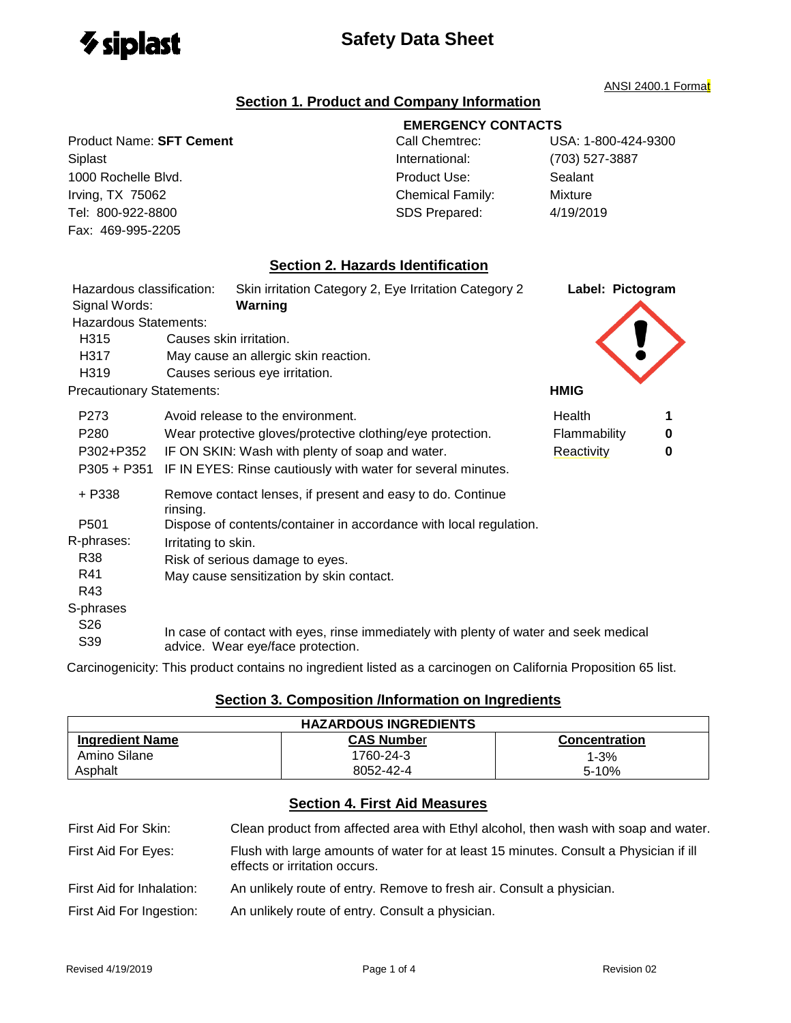

#### ANSI 2400.1 Format

## **Section 1. Product and Company Information**

|                              | <b>EMERGENCY CONTACTS</b>                             |                         |                     |
|------------------------------|-------------------------------------------------------|-------------------------|---------------------|
| Product Name: SFT Cement     |                                                       | Call Chemtrec:          | USA: 1-800-424-9300 |
| Siplast                      |                                                       | International:          | (703) 527-3887      |
| 1000 Rochelle Blvd.          |                                                       | Product Use:            | Sealant             |
| Irving, TX 75062             |                                                       | <b>Chemical Family:</b> | Mixture             |
| Tel: 800-922-8800            |                                                       | SDS Prepared:           | 4/19/2019           |
| Fax: 469-995-2205            |                                                       |                         |                     |
|                              | <b>Section 2. Hazards Identification</b>              |                         |                     |
| Hazardous classification:    | Skin irritation Category 2, Eye Irritation Category 2 |                         | Label: Pictogram    |
| Signal Words:                | Warning                                               |                         |                     |
| <b>Hazardous Statements:</b> |                                                       |                         |                     |
| H315                         | Causes skin irritation.                               |                         |                     |
| H317                         | May cause an allergic skin reaction.                  |                         |                     |
| H319                         | Causes serious eye irritation.                        |                         |                     |

Precautionary Statements: **HMIG** 

| P <sub>273</sub><br>P <sub>280</sub><br>P302+P352<br>$P305 + P351$ | Avoid release to the environment.<br>Wear protective gloves/protective clothing/eye protection.<br>IF ON SKIN: Wash with plenty of soap and water.<br>IF IN EYES: Rinse cautiously with water for several minutes. | Health<br>Flammability<br>Reactivity | 0<br>0 |
|--------------------------------------------------------------------|--------------------------------------------------------------------------------------------------------------------------------------------------------------------------------------------------------------------|--------------------------------------|--------|
| $+ P338$                                                           | Remove contact lenses, if present and easy to do. Continue<br>rinsing.                                                                                                                                             |                                      |        |
| P <sub>501</sub>                                                   | Dispose of contents/container in accordance with local regulation.                                                                                                                                                 |                                      |        |
| R-phrases:                                                         | Irritating to skin.                                                                                                                                                                                                |                                      |        |
| R38                                                                | Risk of serious damage to eyes.                                                                                                                                                                                    |                                      |        |
| R41                                                                | May cause sensitization by skin contact.                                                                                                                                                                           |                                      |        |
| R43                                                                |                                                                                                                                                                                                                    |                                      |        |
| S-phrases                                                          |                                                                                                                                                                                                                    |                                      |        |
| S <sub>26</sub><br>S <sub>39</sub>                                 | In case of contact with eyes, rinse immediately with plenty of water and seek medical<br>advice. Wear eye/face protection.                                                                                         |                                      |        |

Carcinogenicity: This product contains no ingredient listed as a carcinogen on California Proposition 65 list.

### **Section 3. Composition /Information on Ingredients**

| <b>HAZARDOUS INGREDIENTS</b> |                   |                      |
|------------------------------|-------------------|----------------------|
| <b>Ingredient Name</b>       | <b>CAS Number</b> | <b>Concentration</b> |
| Amino Silane                 | 1760-24-3         | $1 - 3%$             |
| Asphalt                      | 8052-42-4         | $5 - 10%$            |

### **Section 4. First Aid Measures**

| First Aid For Skin:       | Clean product from affected area with Ethyl alcohol, then wash with soap and water.                                    |
|---------------------------|------------------------------------------------------------------------------------------------------------------------|
| First Aid For Eyes:       | Flush with large amounts of water for at least 15 minutes. Consult a Physician if ill<br>effects or irritation occurs. |
| First Aid for Inhalation: | An unlikely route of entry. Remove to fresh air. Consult a physician.                                                  |
| First Aid For Ingestion:  | An unlikely route of entry. Consult a physician.                                                                       |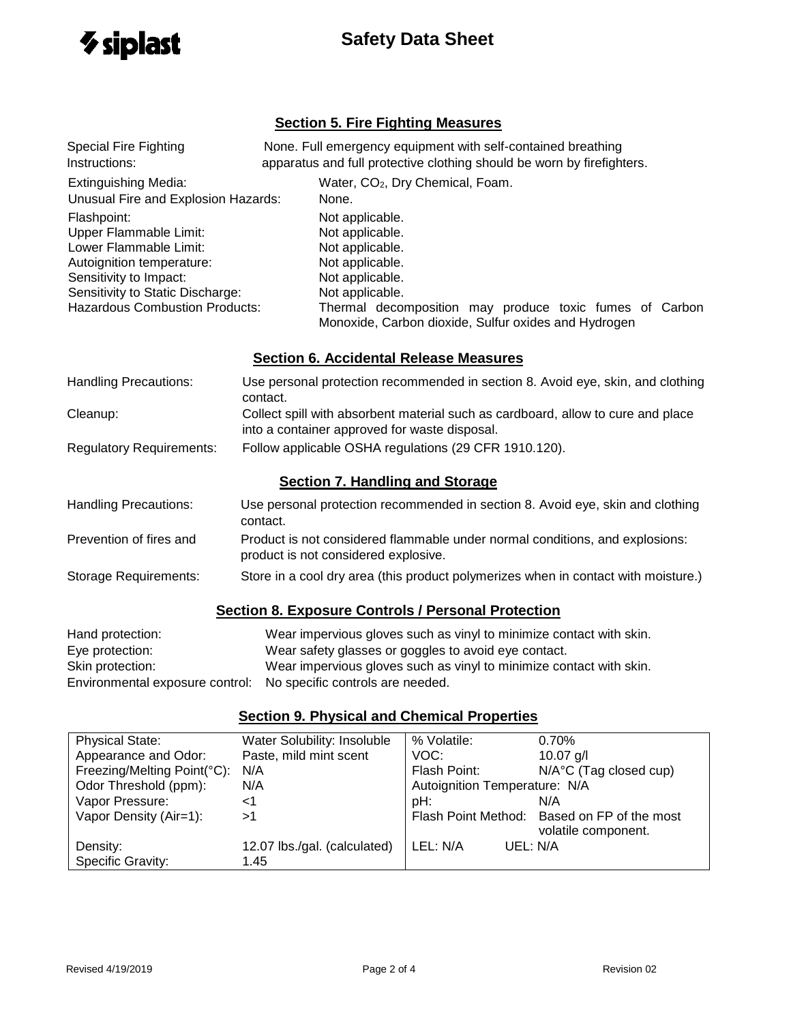

## **Section 5. Fire Fighting Measures**

| <b>Special Fire Fighting</b>                                                                                                                                                                        | None. Full emergency equipment with self-contained breathing                                                                                                                                                                      |  |  |
|-----------------------------------------------------------------------------------------------------------------------------------------------------------------------------------------------------|-----------------------------------------------------------------------------------------------------------------------------------------------------------------------------------------------------------------------------------|--|--|
| Instructions:                                                                                                                                                                                       | apparatus and full protective clothing should be worn by firefighters.                                                                                                                                                            |  |  |
| <b>Extinguishing Media:</b>                                                                                                                                                                         | Water, CO <sub>2</sub> , Dry Chemical, Foam.                                                                                                                                                                                      |  |  |
| Unusual Fire and Explosion Hazards:                                                                                                                                                                 | None.                                                                                                                                                                                                                             |  |  |
| Flashpoint:<br>Upper Flammable Limit:<br>Lower Flammable Limit:<br>Autoignition temperature:<br>Sensitivity to Impact:<br>Sensitivity to Static Discharge:<br><b>Hazardous Combustion Products:</b> | Not applicable.<br>Not applicable.<br>Not applicable.<br>Not applicable.<br>Not applicable.<br>Not applicable.<br>Thermal decomposition may produce toxic fumes of Carbon<br>Monoxide, Carbon dioxide, Sulfur oxides and Hydrogen |  |  |

## **Section 6. Accidental Release Measures**

| <b>Handling Precautions:</b>    | Use personal protection recommended in section 8. Avoid eye, skin, and clothing<br>contact.                                       |
|---------------------------------|-----------------------------------------------------------------------------------------------------------------------------------|
| Cleanup:                        | Collect spill with absorbent material such as cardboard, allow to cure and place<br>into a container approved for waste disposal. |
| <b>Regulatory Requirements:</b> | Follow applicable OSHA regulations (29 CFR 1910.120).                                                                             |
|                                 | Section 7. Handling and Storage                                                                                                   |
| <b>Handling Precautions:</b>    | Use personal protection recommended in section 8. Avoid eye, skin and clothing<br>contact.                                        |
| Prevention of fires and         | Product is not considered flammable under normal conditions, and explosions:<br>product is not considered explosive.              |
| <b>Storage Requirements:</b>    | Store in a cool dry area (this product polymerizes when in contact with moisture.)                                                |

## **Section 8. Exposure Controls / Personal Protection**

| Hand protection:                                                 | Wear impervious gloves such as vinyl to minimize contact with skin. |
|------------------------------------------------------------------|---------------------------------------------------------------------|
| Eye protection:                                                  | Wear safety glasses or goggles to avoid eye contact.                |
| Skin protection:                                                 | Wear impervious gloves such as vinyl to minimize contact with skin. |
| Environmental exposure control: No specific controls are needed. |                                                                     |

#### **Section 9. Physical and Chemical Properties**

| <b>Physical State:</b>          | Water Solubility: Insoluble  | % Volatile:                   | 0.70%                                       |
|---------------------------------|------------------------------|-------------------------------|---------------------------------------------|
| Appearance and Odor:            | Paste, mild mint scent       | VOC:                          | 10.07 $q/l$                                 |
| Freezing/Melting Point(°C): N/A |                              | Flash Point:                  | $N/A^{\circ}C$ (Tag closed cup)             |
| Odor Threshold (ppm):           | N/A                          | Autoignition Temperature: N/A |                                             |
| Vapor Pressure:                 | <1                           | pH:                           | N/A                                         |
| Vapor Density (Air=1):          | >1                           |                               | Flash Point Method: Based on FP of the most |
|                                 |                              |                               | volatile component.                         |
| Density:                        | 12.07 lbs./gal. (calculated) | LEL: N/A<br>UEL: N/A          |                                             |
| <b>Specific Gravity:</b>        | 1.45                         |                               |                                             |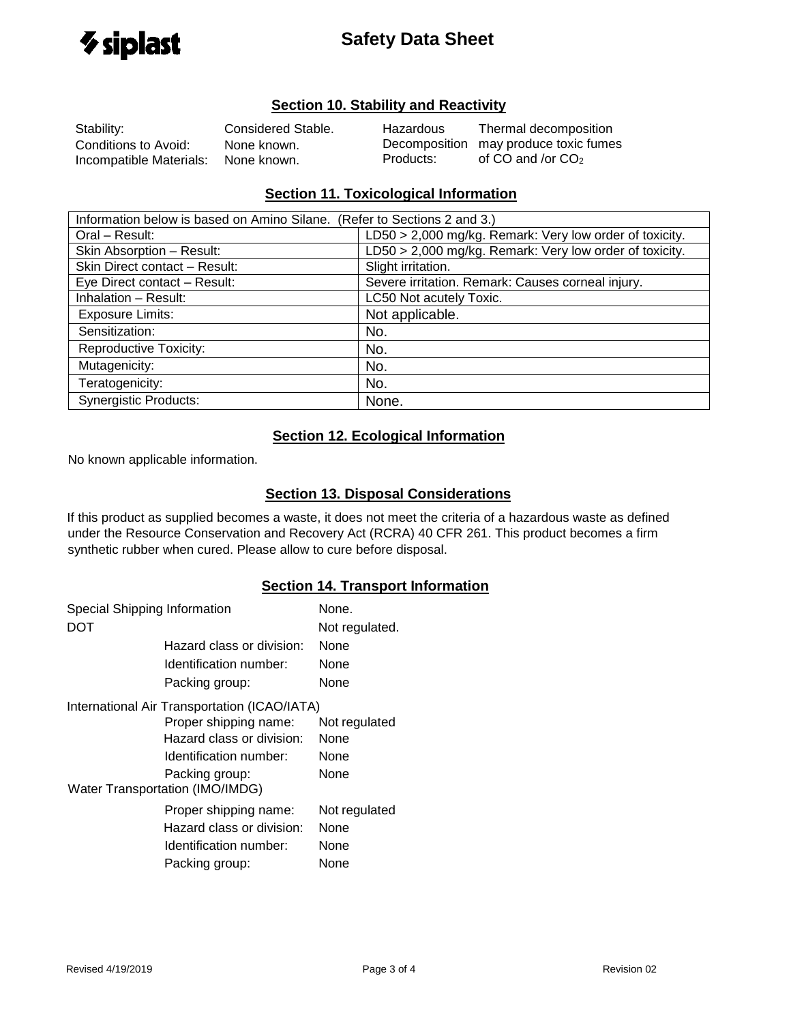

### **Section 10. Stability and Reactivity**

Stability: Considered Stable. Conditions to Avoid: None known. Incompatible Materials: None known.

Hazardous Thermal decomposition Decomposition may produce toxic fumes Products: of CO and /or CO<sup>2</sup>

### **Section 11. Toxicological Information**

| Information below is based on Amino Silane. (Refer to Sections 2 and 3.) |                                                         |
|--------------------------------------------------------------------------|---------------------------------------------------------|
| Oral - Result:                                                           | LD50 > 2,000 mg/kg. Remark: Very low order of toxicity. |
| Skin Absorption - Result:                                                | LD50 > 2,000 mg/kg. Remark: Very low order of toxicity. |
| Skin Direct contact - Result:                                            | Slight irritation.                                      |
| Eye Direct contact - Result:                                             | Severe irritation. Remark: Causes corneal injury.       |
| Inhalation - Result:                                                     | LC50 Not acutely Toxic.                                 |
| <b>Exposure Limits:</b>                                                  | Not applicable.                                         |
| Sensitization:                                                           | No.                                                     |
| <b>Reproductive Toxicity:</b>                                            | No.                                                     |
| Mutagenicity:                                                            | No.                                                     |
| Teratogenicity:                                                          | No.                                                     |
| <b>Synergistic Products:</b>                                             | None.                                                   |

### **Section 12. Ecological Information**

No known applicable information.

### **Section 13. Disposal Considerations**

If this product as supplied becomes a waste, it does not meet the criteria of a hazardous waste as defined under the Resource Conservation and Recovery Act (RCRA) 40 CFR 261. This product becomes a firm synthetic rubber when cured. Please allow to cure before disposal.

### **Section 14. Transport Information**

| Special Shipping Information<br><b>DOT</b> |                                                                                                                                                                                   | None.<br>Not regulated.               |
|--------------------------------------------|-----------------------------------------------------------------------------------------------------------------------------------------------------------------------------------|---------------------------------------|
|                                            | Hazard class or division:<br>Identification number:<br>Packing group:                                                                                                             | None<br>None<br>None                  |
|                                            | International Air Transportation (ICAO/IATA)<br>Proper shipping name:<br>Hazard class or division:<br>Identification number:<br>Packing group:<br>Water Transportation (IMO/IMDG) | Not regulated<br>None<br>None<br>None |
|                                            | Proper shipping name:<br>Hazard class or division:<br>Identification number:<br>Packing group:                                                                                    | Not regulated<br>None<br>None<br>None |